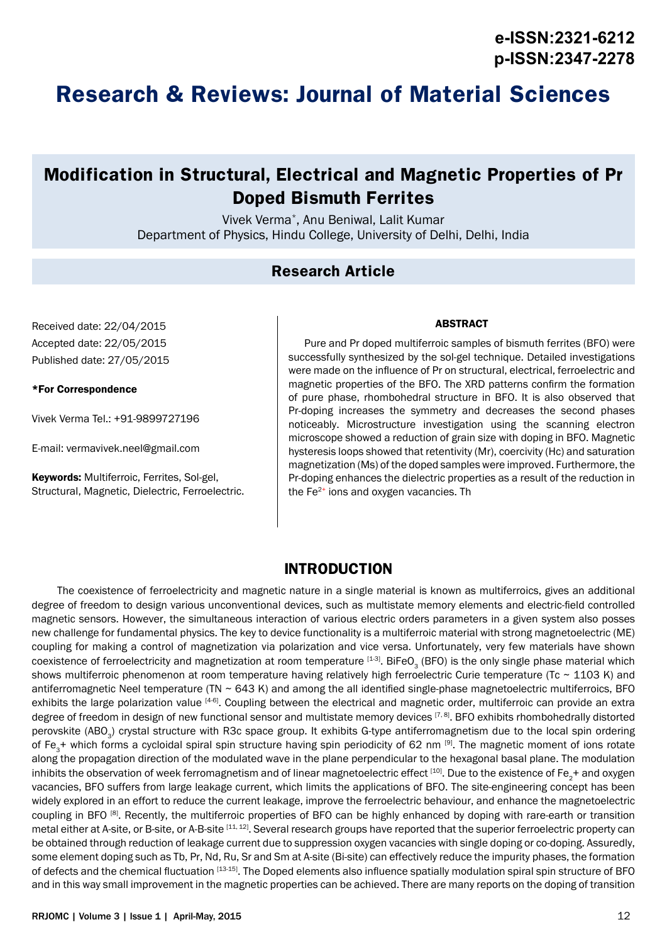# **Research & Reviews: Journal of Material Sciences**

# **Modification in Structural, Electrical and Magnetic Properties of Pr Doped Bismuth Ferrites**

Vivek Verma\*, Anu Beniwal, Lalit Kumar Department of Physics, Hindu College, University of Delhi, Delhi, India

### **Research Article**

Received date: 22/04/2015 Accepted date: 22/05/2015 Published date: 27/05/2015

#### \*For Correspondence

Vivek Verma Tel.: +91-9899727196

E-mail: vermavivek.neel@gmail.com

Keywords: Multiferroic, Ferrites, Sol-gel, Structural, Magnetic, Dielectric, Ferroelectric.

#### ABSTRACT

Pure and Pr doped multiferroic samples of bismuth ferrites (BFO) were successfully synthesized by the sol-gel technique. Detailed investigations were made on the influence of Pr on structural, electrical, ferroelectric and magnetic properties of the BFO. The XRD patterns confirm the formation of pure phase, rhombohedral structure in BFO. It is also observed that Pr-doping increases the symmetry and decreases the second phases noticeably. Microstructure investigation using the scanning electron microscope showed a reduction of grain size with doping in BFO. Magnetic hysteresis loops showed that retentivity (Mr), coercivity (Hc) and saturation magnetization (Ms) of the doped samples were improved. Furthermore, the Pr-doping enhances the dielectric properties as a result of the reduction in the  $Fe<sup>2+</sup>$  ions and oxygen vacancies. Th

### **INTRODUCTION**

The coexistence of ferroelectricity and magnetic nature in a single material is known as multiferroics, gives an additional degree of freedom to design various unconventional devices, such as multistate memory elements and electric-field controlled magnetic sensors. However, the simultaneous interaction of various electric orders parameters in a given system also posses new challenge for fundamental physics. The key to device functionality is a multiferroic material with strong magnetoelectric (ME) coupling for making a control of magnetization via polarization and vice versa. Unfortunately, very few materials have shown coexistence of ferroelectricity and magnetization at room temperature [1-3]. BiFeO<sub>2</sub> (BFO) is the only single phase material which shows multiferroic phenomenon at room temperature having relatively high ferroelectric Curie temperature (Tc ~ 1103 K) and antiferromagnetic Neel temperature (TN  $\sim$  643 K) and among the all identified single-phase magnetoelectric multiferroics, BFO exhibits the large polarization value [4-6]. Coupling between the electrical and magnetic order, multiferroic can provide an extra degree of freedom in design of new functional sensor and multistate memory devices [7, 8]. BFO exhibits rhombohedrally distorted perovskite (ABO<sub>2</sub>) crystal structure with R3c space group. It exhibits G-type antiferromagnetism due to the local spin ordering of Fe<sub>2</sub>+ which forms a cycloidal spiral spin structure having spin periodicity of 62 nm [9]. The magnetic moment of ions rotate along the propagation direction of the modulated wave in the plane perpendicular to the hexagonal basal plane. The modulation inhibits the observation of week ferromagnetism and of linear magnetoelectric effect [10]. Due to the existence of Fe<sub>2</sub>+ and oxygen vacancies, BFO suffers from large leakage current, which limits the applications of BFO. The site-engineering concept has been widely explored in an effort to reduce the current leakage, improve the ferroelectric behaviour, and enhance the magnetoelectric coupling in BFO [8]. Recently, the multiferroic properties of BFO can be highly enhanced by doping with rare-earth or transition metal either at A-site, or B-site, or A-B-site [11, 12]. Several research groups have reported that the superior ferroelectric property can be obtained through reduction of leakage current due to suppression oxygen vacancies with single doping or co-doping. Assuredly, some element doping such as Tb, Pr, Nd, Ru, Sr and Sm at A-site (Bi-site) can effectively reduce the impurity phases, the formation of defects and the chemical fluctuation [13-15]. The Doped elements also influence spatially modulation spiral spin structure of BFO and in this way small improvement in the magnetic properties can be achieved. There are many reports on the doping of transition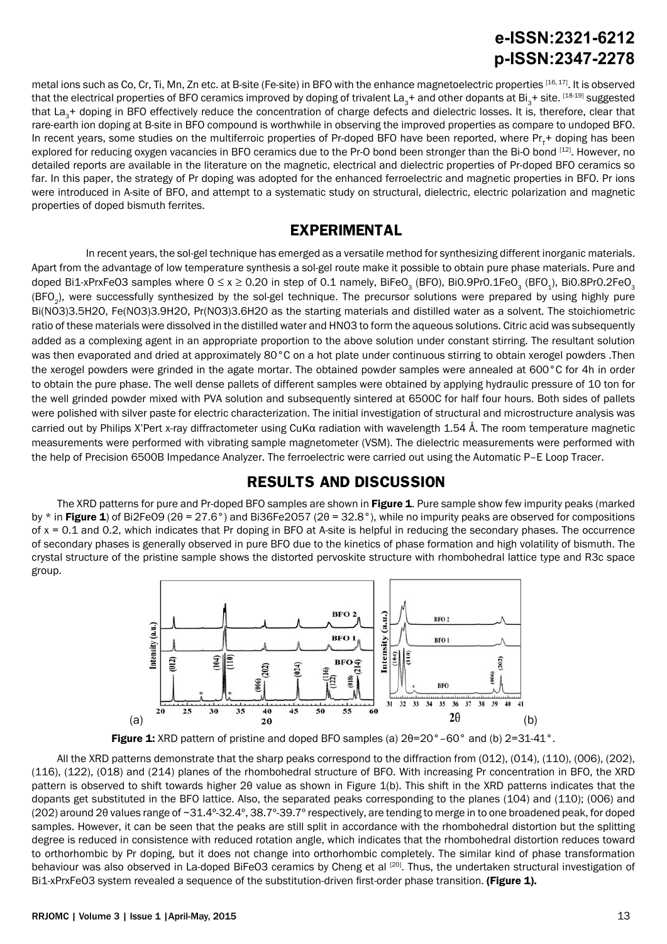# **e-ISSN:2321-6212 p-ISSN:2347-2278**

metal ions such as Co, Cr, Ti, Mn, Zn etc. at B-site (Fe-site) in BFO with the enhance magnetoelectric properties [16, 17]. It is observed that the electrical properties of BFO ceramics improved by doping of trivalent La<sub>3</sub>+ and other dopants at Bi<sub>3</sub>+ site. [18-19] suggested that La<sub>3</sub>+ doping in BFO effectively reduce the concentration of charge defects and dielectric losses. It is, therefore, clear that rare-earth ion doping at B-site in BFO compound is worthwhile in observing the improved properties as compare to undoped BFO. In recent years, some studies on the multiferroic properties of Pr-doped BFO have been reported, where Pr<sub>T</sub>+ doping has been explored for reducing oxygen vacancies in BFO ceramics due to the Pr-O bond been stronger than the Bi-O bond [12]. However, no detailed reports are available in the literature on the magnetic, electrical and dielectric properties of Pr-doped BFO ceramics so far. In this paper, the strategy of Pr doping was adopted for the enhanced ferroelectric and magnetic properties in BFO. Pr ions were introduced in A-site of BFO, and attempt to a systematic study on structural, dielectric, electric polarization and magnetic properties of doped bismuth ferrites.

#### **EXPERIMENTAL**

 In recent years, the sol-gel technique has emerged as a versatile method for synthesizing different inorganic materials. Apart from the advantage of low temperature synthesis a sol-gel route make it possible to obtain pure phase materials. Pure and doped Bi1-xPrxFeO3 samples where  $0 \le x \ge 0.20$  in step of 0.1 namely, BiFeO<sub>3</sub> (BFO), BiO.9Pr0.1FeO<sub>3</sub> (BFO<sub>1</sub>), BiO.8Pr0.2FeO<sub>3</sub> (BFO<sub>2</sub>), were successfully synthesized by the sol-gel technique. The precursor solutions were prepared by using highly pure Bi(NO3)3.5H2O, Fe(NO3)3.9H2O, Pr(NO3)3.6H2O as the starting materials and distilled water as a solvent. The stoichiometric ratio of these materials were dissolved in the distilled water and HNO3 to form the aqueous solutions. Citric acid was subsequently added as a complexing agent in an appropriate proportion to the above solution under constant stirring. The resultant solution was then evaporated and dried at approximately 80°C on a hot plate under continuous stirring to obtain xerogel powders .Then the xerogel powders were grinded in the agate mortar. The obtained powder samples were annealed at 600°C for 4h in order to obtain the pure phase. The well dense pallets of different samples were obtained by applying hydraulic pressure of 10 ton for the well grinded powder mixed with PVA solution and subsequently sintered at 6500C for half four hours. Both sides of pallets were polished with silver paste for electric characterization. The initial investigation of structural and microstructure analysis was carried out by Philips X'Pert x-ray diffractometer using CuKα radiation with wavelength 1.54 Å. The room temperature magnetic measurements were performed with vibrating sample magnetometer (VSM). The dielectric measurements were performed with the help of Precision 6500B Impedance Analyzer. The ferroelectric were carried out using the Automatic P–E Loop Tracer.

#### **RESULTS AND DISCUSSION**

The XRD patterns for pure and Pr-doped BFO samples are shown in Figure 1. Pure sample show few impurity peaks (marked by  $*$  in Figure 1) of Bi2FeO9 (2 $\theta$  = 27.6°) and Bi36Fe2O57 (2 $\theta$  = 32.8°), while no impurity peaks are observed for compositions of  $x = 0.1$  and 0.2, which indicates that Pr doping in BFO at A-site is helpful in reducing the secondary phases. The occurrence of secondary phases is generally observed in pure BFO due to the kinetics of phase formation and high volatility of bismuth. The crystal structure of the pristine sample shows the distorted pervoskite structure with rhombohedral lattice type and R3c space group.





All the XRD patterns demonstrate that the sharp peaks correspond to the diffraction from (012), (014), (110), (006), (202), (116), (122), (018) and (214) planes of the rhombohedral structure of BFO. With increasing Pr concentration in BFO, the XRD pattern is observed to shift towards higher 2θ value as shown in Figure 1(b). This shift in the XRD patterns indicates that the dopants get substituted in the BFO lattice. Also, the separated peaks corresponding to the planes (104) and (110); (006) and (202) around 2θ values range of ~31.4º-32.4º, 38.7º-39.7º respectively, are tending to merge in to one broadened peak, for doped samples. However, it can be seen that the peaks are still split in accordance with the rhombohedral distortion but the splitting degree is reduced in consistence with reduced rotation angle, which indicates that the rhombohedral distortion reduces toward to orthorhombic by Pr doping, but it does not change into orthorhombic completely. The similar kind of phase transformation behaviour was also observed in La-doped BiFeO3 ceramics by Cheng et al [20]. Thus, the undertaken structural investigation of Bi1-xPrxFeO3 system revealed a sequence of the substitution-driven first-order phase transition. (Figure 1).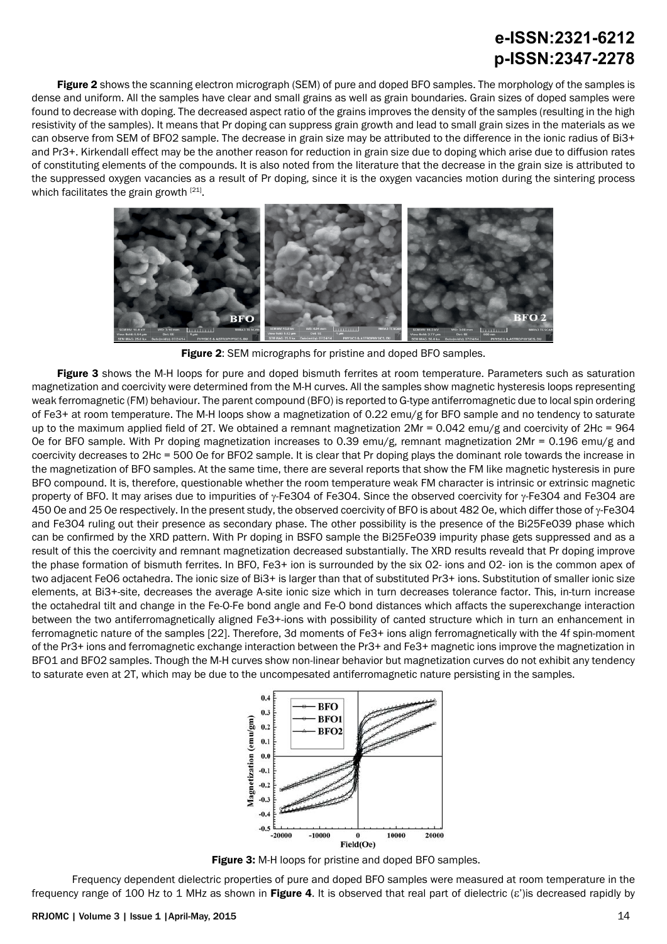# **e-ISSN:2321-6212 p-ISSN:2347-2278**

Figure 2 shows the scanning electron micrograph (SEM) of pure and doped BFO samples. The morphology of the samples is dense and uniform. All the samples have clear and small grains as well as grain boundaries. Grain sizes of doped samples were found to decrease with doping. The decreased aspect ratio of the grains improves the density of the samples (resulting in the high resistivity of the samples). It means that Pr doping can suppress grain growth and lead to small grain sizes in the materials as we can observe from SEM of BFO2 sample. The decrease in grain size may be attributed to the difference in the ionic radius of Bi3+ and Pr3+. Kirkendall effect may be the another reason for reduction in grain size due to doping which arise due to diffusion rates of constituting elements of the compounds. It is also noted from the literature that the decrease in the grain size is attributed to the suppressed oxygen vacancies as a result of Pr doping, since it is the oxygen vacancies motion during the sintering process which facilitates the grain growth [21].



Figure 2: SEM micrographs for pristine and doped BFO samples.

Figure 3 shows the M-H loops for pure and doped bismuth ferrites at room temperature. Parameters such as saturation magnetization and coercivity were determined from the M-H curves. All the samples show magnetic hysteresis loops representing weak ferromagnetic (FM) behaviour. The parent compound (BFO) is reported to G-type antiferromagnetic due to local spin ordering of Fe3+ at room temperature. The M-H loops show a magnetization of 0.22 emu/g for BFO sample and no tendency to saturate up to the maximum applied field of 2T. We obtained a remnant magnetization 2Mr = 0.042 emu/g and coercivity of 2Hc = 964 Oe for BFO sample. With Pr doping magnetization increases to 0.39 emu/g, remnant magnetization 2Mr = 0.196 emu/g and coercivity decreases to 2Hc = 500 Oe for BFO2 sample. It is clear that Pr doping plays the dominant role towards the increase in the magnetization of BFO samples. At the same time, there are several reports that show the FM like magnetic hysteresis in pure BFO compound. It is, therefore, questionable whether the room temperature weak FM character is intrinsic or extrinsic magnetic property of BFO. It may arises due to impurities of  $\gamma$ -Fe3O4 of Fe3O4. Since the observed coercivity for  $\gamma$ -Fe3O4 and Fe3O4 are 450 Oe and 25 Oe respectively. In the present study, the observed coercivity of BFO is about 482 Oe, which differ those of  $\gamma$ -Fe3O4 and Fe3O4 ruling out their presence as secondary phase. The other possibility is the presence of the Bi25FeO39 phase which can be confirmed by the XRD pattern. With Pr doping in BSFO sample the Bi25FeO39 impurity phase gets suppressed and as a result of this the coercivity and remnant magnetization decreased substantially. The XRD results reveald that Pr doping improve the phase formation of bismuth ferrites. In BFO, Fe3+ ion is surrounded by the six O2- ions and O2- ion is the common apex of two adjacent FeO6 octahedra. The ionic size of Bi3+ is larger than that of substituted Pr3+ ions. Substitution of smaller ionic size elements, at Bi3+-site, decreases the average A-site ionic size which in turn decreases tolerance factor. This, in-turn increase the octahedral tilt and change in the Fe-O-Fe bond angle and Fe-O bond distances which affacts the superexchange interaction between the two antiferromagnetically aligned Fe3+-ions with possibility of canted structure which in turn an enhancement in ferromagnetic nature of the samples [22]. Therefore, 3d moments of Fe3+ ions align ferromagnetically with the 4f spin-moment of the Pr3+ ions and ferromagnetic exchange interaction between the Pr3+ and Fe3+ magnetic ions improve the magnetization in BFO1 and BFO2 samples. Though the M-H curves show non-linear behavior but magnetization curves do not exhibit any tendency to saturate even at 2T, which may be due to the uncompesated antiferromagnetic nature persisting in the samples.



Figure 3: M-H loops for pristine and doped BFO samples.

Frequency dependent dielectric properties of pure and doped BFO samples were measured at room temperature in the frequency range of 100 Hz to 1 MHz as shown in Figure 4. It is observed that real part of dielectric ( $\varepsilon$ ') is decreased rapidly by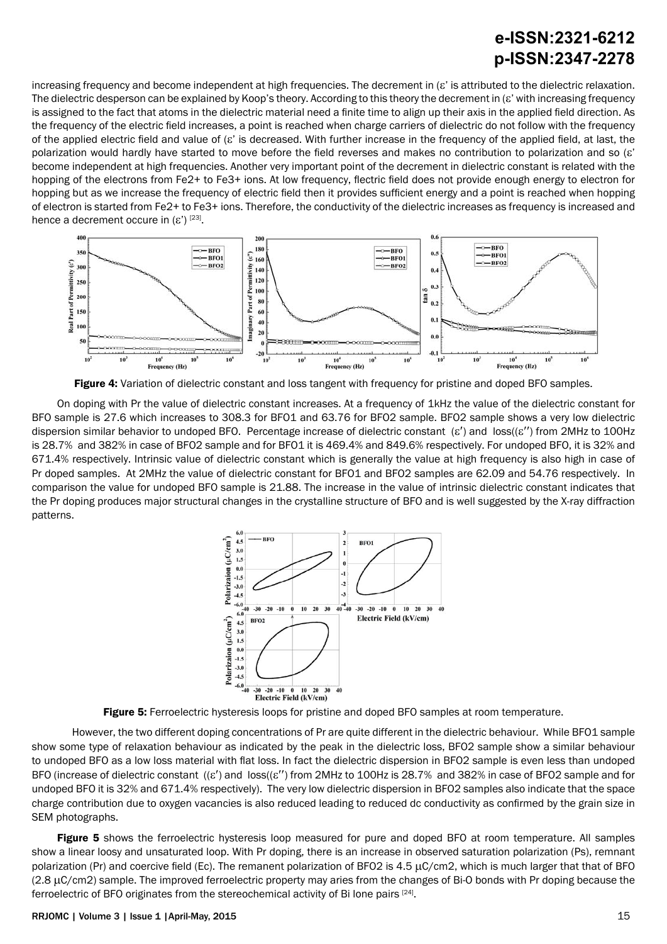# **e-ISSN:2321-6212 p-ISSN:2347-2278**

increasing frequency and become independent at high frequencies. The decrement in (ε' is attributed to the dielectric relaxation. The dielectric desperson can be explained by Koop's theory. According to this theory the decrement in (ε' with increasing frequency is assigned to the fact that atoms in the dielectric material need a finite time to align up their axis in the applied field direction. As the frequency of the electric field increases, a point is reached when charge carriers of dielectric do not follow with the frequency of the applied electric field and value of (ε' is decreased. With further increase in the frequency of the applied field, at last, the polarization would hardly have started to move before the field reverses and makes no contribution to polarization and so (ε' become independent at high frequencies. Another very important point of the decrement in dielectric constant is related with the hopping of the electrons from Fe2+ to Fe3+ ions. At low frequency, flectric field does not provide enough energy to electron for hopping but as we increase the frequency of electric field then it provides sufficient energy and a point is reached when hopping of electron is started from Fe2+ to Fe3+ ions. Therefore, the conductivity of the dielectric increases as frequency is increased and hence a decrement occure in  $(\varepsilon')^{[23]}$ .



Figure 4: Variation of dielectric constant and loss tangent with frequency for pristine and doped BFO samples.

On doping with Pr the value of dielectric constant increases. At a frequency of 1kHz the value of the dielectric constant for BFO sample is 27.6 which increases to 308.3 for BFO1 and 63.76 for BFO2 sample. BFO2 sample shows a very low dielectric dispersion similar behavior to undoped BFO. Percentage increase of dielectric constant (ε′) and loss((ε′′) from 2MHz to 100Hz is 28.7% and 382% in case of BFO2 sample and for BFO1 it is 469.4% and 849.6% respectively. For undoped BFO, it is 32% and 671.4% respectively. Intrinsic value of dielectric constant which is generally the value at high frequency is also high in case of Pr doped samples. At 2MHz the value of dielectric constant for BFO1 and BFO2 samples are 62.09 and 54.76 respectively. In comparison the value for undoped BFO sample is 21.88. The increase in the value of intrinsic dielectric constant indicates that the Pr doping produces major structural changes in the crystalline structure of BFO and is well suggested by the X-ray diffraction patterns.



**Figure 5:** Ferroelectric hysteresis loops for pristine and doped BFO samples at room temperature.

However, the two different doping concentrations of Pr are quite different in the dielectric behaviour. While BFO1 sample show some type of relaxation behaviour as indicated by the peak in the dielectric loss, BFO2 sample show a similar behaviour to undoped BFO as a low loss material with flat loss. In fact the dielectric dispersion in BFO2 sample is even less than undoped BFO (increase of dielectric constant ((ε′) and loss((ε′′) from 2MHz to 100Hz is 28.7% and 382% in case of BFO2 sample and for undoped BFO it is 32% and 671.4% respectively). The very low dielectric dispersion in BFO2 samples also indicate that the space charge contribution due to oxygen vacancies is also reduced leading to reduced dc conductivity as confirmed by the grain size in SEM photographs.

Figure 5 shows the ferroelectric hysteresis loop measured for pure and doped BFO at room temperature. All samples show a linear loosy and unsaturated loop. With Pr doping, there is an increase in observed saturation polarization (Ps), remnant polarization (Pr) and coercive field (Ec). The remanent polarization of BFO2 is  $4.5 \mu C/cm2$ , which is much larger that that of BFO  $(2.8 \,\mu\text{C/cm2})$  sample. The improved ferroelectric property may aries from the changes of Bi-O bonds with Pr doping because the ferroelectric of BFO originates from the stereochemical activity of Bi lone pairs [24].